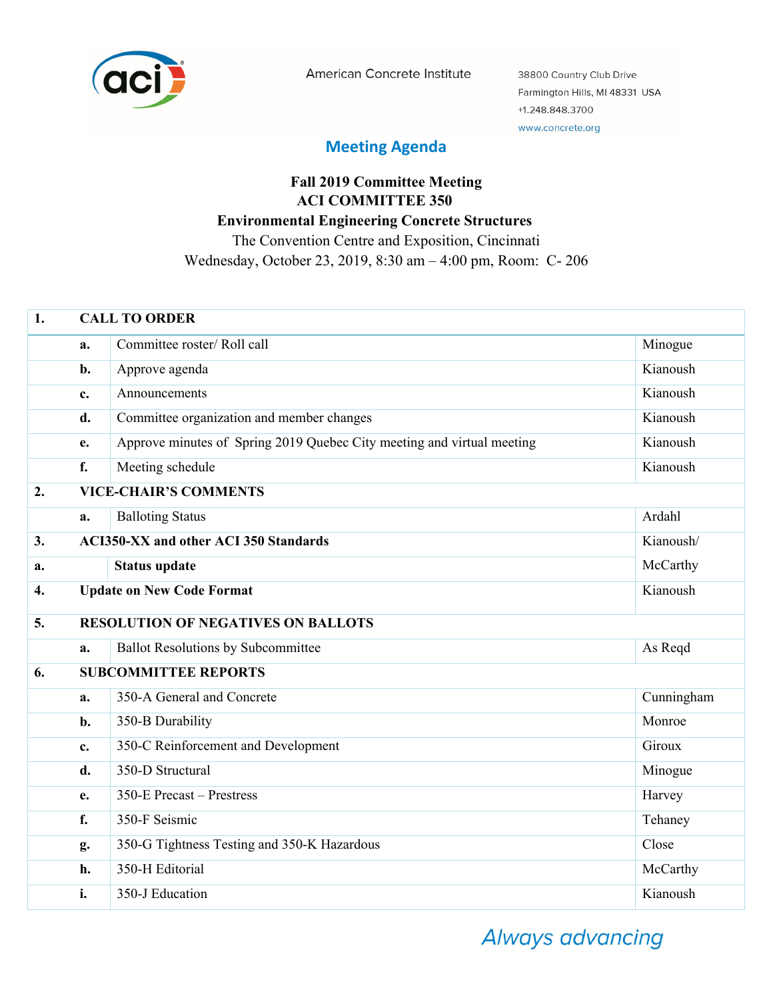

American Concrete Institute

38800 Country Club Drive Farmington Hills, MI 48331 USA +1.248.848.3700 www.concrete.org

## **Meeting Agenda**

## **Fall 2019 Committee Meeting ACI COMMITTEE 350 Environmental Engineering Concrete Structures**  The Convention Centre and Exposition, Cincinnati Wednesday, October 23, 2019, 8:30 am – 4:00 pm, Room: C- 206

| 1.               | <b>CALL TO ORDER</b>                                      |                                                                        |            |  |
|------------------|-----------------------------------------------------------|------------------------------------------------------------------------|------------|--|
|                  | a.                                                        | Committee roster/Roll call                                             | Minogue    |  |
|                  | b.                                                        | Approve agenda                                                         | Kianoush   |  |
|                  | $\mathbf{c}$ .                                            | Announcements                                                          | Kianoush   |  |
|                  | d.                                                        | Committee organization and member changes                              | Kianoush   |  |
|                  | e.                                                        | Approve minutes of Spring 2019 Quebec City meeting and virtual meeting | Kianoush   |  |
|                  | f.                                                        | Meeting schedule                                                       | Kianoush   |  |
| 2.               | <b>VICE-CHAIR'S COMMENTS</b>                              |                                                                        |            |  |
|                  | a.                                                        | <b>Balloting Status</b>                                                | Ardahl     |  |
| 3.               | <b>ACI350-XX and other ACI 350 Standards</b><br>Kianoush/ |                                                                        |            |  |
| a.               |                                                           | <b>Status update</b>                                                   | McCarthy   |  |
| $\overline{4}$ . | <b>Update on New Code Format</b>                          |                                                                        | Kianoush   |  |
| 5.               | <b>RESOLUTION OF NEGATIVES ON BALLOTS</b>                 |                                                                        |            |  |
|                  | a.                                                        | <b>Ballot Resolutions by Subcommittee</b>                              | As Reqd    |  |
| 6.               |                                                           | <b>SUBCOMMITTEE REPORTS</b>                                            |            |  |
|                  | a.                                                        | 350-A General and Concrete                                             | Cunningham |  |
|                  | b.                                                        | 350-B Durability                                                       | Monroe     |  |
|                  | c.                                                        | 350-C Reinforcement and Development                                    | Giroux     |  |
|                  | d.                                                        | 350-D Structural                                                       | Minogue    |  |
|                  | e.                                                        | 350-E Precast - Prestress                                              | Harvey     |  |
|                  | f.                                                        | 350-F Seismic                                                          | Tehaney    |  |
|                  | g.                                                        | 350-G Tightness Testing and 350-K Hazardous                            | Close      |  |
|                  | h.                                                        | 350-H Editorial                                                        | McCarthy   |  |
|                  | i.                                                        | 350-J Education                                                        | Kianoush   |  |

Always advancing